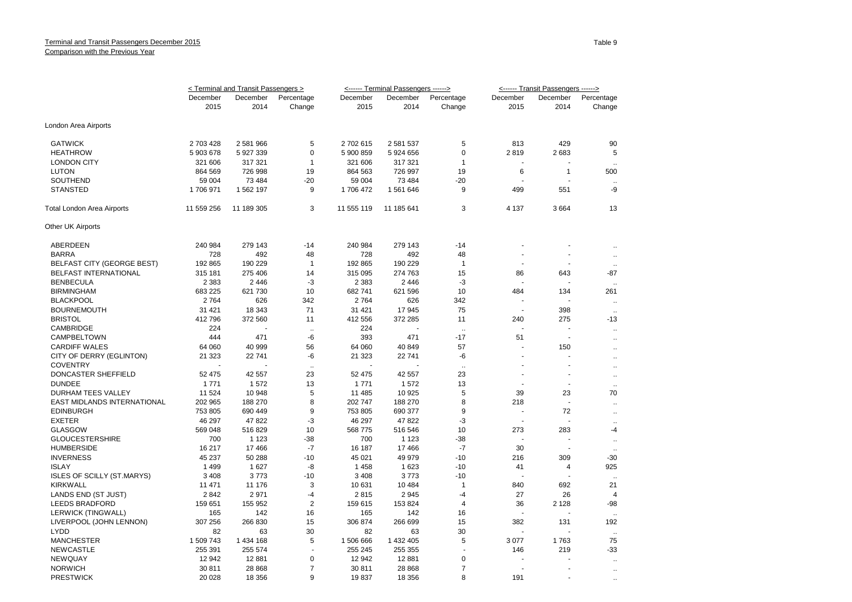|                                   | < Terminal and Transit Passengers > |            |                      |            | <------ Terminal Passengers ------> |                | <------ Transit Passengers ------> |                          |                      |
|-----------------------------------|-------------------------------------|------------|----------------------|------------|-------------------------------------|----------------|------------------------------------|--------------------------|----------------------|
|                                   | December                            | December   | Percentage           | December   | December                            | Percentage     | December                           | December                 | Percentage           |
|                                   | 2015                                | 2014       | Change               | 2015       | 2014                                | Change         | 2015                               | 2014                     | Change               |
| London Area Airports              |                                     |            |                      |            |                                     |                |                                    |                          |                      |
| <b>GATWICK</b>                    | 2 703 428                           | 2 581 966  | 5                    | 2702615    | 2 581 537                           | 5              | 813                                | 429                      | 90                   |
| <b>HEATHROW</b>                   | 5 903 678                           | 5 927 339  | $\mathbf 0$          | 5 900 859  | 5924656                             | 0              | 2819                               | 2683                     | 5                    |
| <b>LONDON CITY</b>                | 321 606                             | 317 321    | $\mathbf{1}$         | 321 606    | 317 321                             | $\mathbf{1}$   |                                    |                          |                      |
| <b>LUTON</b>                      | 864 569                             | 726 998    | 19                   | 864 563    | 726 997                             | 19             | 6                                  | $\mathbf{1}$             | 500                  |
| SOUTHEND                          | 59 004                              | 73 4 84    | $-20$                | 59 004     | 73 484                              | $-20$          |                                    |                          | $\ddotsc$            |
| <b>STANSTED</b>                   | 1706971                             | 1 562 197  | 9                    | 1706 472   | 1 561 646                           | 9              | 499                                | 551                      | -9                   |
| Total London Area Airports        | 11 559 256                          | 11 189 305 | 3                    | 11 555 119 | 11 185 641                          | 3              | 4 1 3 7                            | 3664                     | 13                   |
| Other UK Airports                 |                                     |            |                      |            |                                     |                |                                    |                          |                      |
| ABERDEEN                          | 240 984                             | 279 143    | $-14$                | 240 984    | 279 143                             | $-14$          |                                    |                          |                      |
| <b>BARRA</b>                      | 728                                 | 492        | 48                   | 728        | 492                                 | 48             |                                    |                          | $\ddot{\phantom{a}}$ |
| BELFAST CITY (GEORGE BEST)        | 192 865                             | 190 229    | $\mathbf{1}$         | 192 865    | 190 229                             | $\mathbf{1}$   |                                    |                          | $\ldots$             |
| BELFAST INTERNATIONAL             | 315 181                             | 275 406    | 14                   | 315 095    | 274 763                             | 15             | 86                                 | 643                      | -87                  |
| <b>BENBECULA</b>                  | 2 3 8 3                             | 2 4 4 6    | $-3$                 | 2 3 8 3    | 2 4 4 6                             | $-3$           |                                    |                          | $\ddotsc$            |
| <b>BIRMINGHAM</b>                 | 683 225                             | 621 730    | 10                   | 682741     | 621 596                             | 10             | 484                                | 134                      | 261                  |
| <b>BLACKPOOL</b>                  | 2764                                | 626        | 342                  | 2764       | 626                                 | 342            |                                    |                          | $\sim$               |
| <b>BOURNEMOUTH</b>                | 31 4 21                             | 18 343     | 71                   | 31 421     | 17 945                              | 75             |                                    | 398                      | $\sim$               |
| <b>BRISTOL</b>                    | 412796                              | 372 560    | 11                   | 412 556    | 372 285                             | 11             | 240                                | 275                      | $-13$                |
| <b>CAMBRIDGE</b>                  | 224                                 |            | $\ddot{\phantom{a}}$ | 224        |                                     | $\ddotsc$      |                                    |                          | $\ddot{\phantom{a}}$ |
| CAMPBELTOWN                       | 444                                 | 471        | -6                   | 393        | 471                                 | $-17$          | 51                                 | ÷.                       | $\ddotsc$            |
| <b>CARDIFF WALES</b>              | 64 060                              | 40 999     | 56                   | 64 060     | 40 849                              | 57             |                                    | 150                      | $\ddotsc$            |
| CITY OF DERRY (EGLINTON)          | 21 3 23                             | 22741      | -6                   | 21 3 23    | 22 741                              | -6             | $\overline{\phantom{a}}$           |                          | $\ddotsc$            |
| <b>COVENTRY</b>                   |                                     |            | $\ldots$             |            |                                     | $\ddotsc$      |                                    | $\overline{\phantom{a}}$ | $\ddotsc$            |
| <b>DONCASTER SHEFFIELD</b>        | 52 475                              | 42 557     | 23                   | 52 475     | 42 557                              | 23             |                                    | ÷,                       | $\ddotsc$            |
| <b>DUNDEE</b>                     | 1771                                | 1572       | 13                   | 1771       | 1572                                | 13             | $\overline{a}$                     | $\overline{a}$           | $\sim$               |
| DURHAM TEES VALLEY                | 11 524                              | 10 948     | 5                    | 11 485     | 10 925                              | 5              | 39                                 | 23                       | 70                   |
| EAST MIDLANDS INTERNATIONAL       | 202 965                             | 188 270    | 8                    | 202 747    | 188 270                             | 8              | 218                                | $\overline{\phantom{a}}$ | $\mathbf{r}$         |
| <b>EDINBURGH</b>                  | 753 805                             | 690 449    | 9                    | 753 805    | 690 377                             | 9              |                                    | 72                       | $\sim$               |
| <b>EXETER</b>                     | 46 297                              | 47 822     | $-3$                 | 46 297     | 47 822                              | -3             | ÷.                                 |                          | $\sim$               |
| <b>GLASGOW</b>                    | 569 048                             | 516829     | 10                   | 568775     | 516 546                             | 10             | 273                                | 283                      | $-4$                 |
| <b>GLOUCESTERSHIRE</b>            | 700                                 | 1 1 2 3    | $-38$                | 700        | 1 1 2 3                             | $-38$          |                                    | ÷.                       |                      |
| <b>HUMBERSIDE</b>                 | 16 217                              | 17 466     | $-7$                 | 16 187     | 17 466                              | $-7$           | 30                                 |                          | $\sim$               |
| <b>INVERNESS</b>                  | 45 237                              | 50 288     | $-10$                | 45 021     | 49 979                              | $-10$          | 216                                | 309                      | -30                  |
| <b>ISLAY</b>                      | 1499                                | 1627       | -8                   | 1458       | 1623                                | $-10$          | 41                                 | 4                        | 925                  |
| <b>ISLES OF SCILLY (ST.MARYS)</b> | 3 4 0 8                             | 3773       | $-10$                | 3 4 0 8    | 3773                                | $-10$          | ÷.                                 |                          |                      |
| <b>KIRKWALL</b>                   | 11 471                              | 11 176     | 3                    | 10 631     | 10 4 84                             | $\mathbf{1}$   | 840                                | 692                      | 21                   |
| LANDS END (ST JUST)               | 2842                                | 2971       | $-4$                 | 2815       | 2 9 4 5                             | $-4$           | 27                                 | 26                       | $\overline{4}$       |
| <b>LEEDS BRADFORD</b>             | 159 651                             | 155 952    | $\overline{c}$       | 159 615    | 153 824                             | 4              | 36                                 | 2 1 2 8                  | -98                  |
|                                   |                                     |            | 16                   |            |                                     |                |                                    |                          |                      |
| LERWICK (TINGWALL)                | 165                                 | 142        |                      | 165        | 142                                 | 16             |                                    |                          | $\ddotsc$            |
| LIVERPOOL (JOHN LENNON)           | 307 256                             | 266 830    | 15                   | 306 874    | 266 699                             | 15             | 382                                | 131                      | 192                  |
| <b>LYDD</b>                       | 82                                  | 63         | 30                   | 82         | 63                                  | 30             |                                    |                          |                      |
| <b>MANCHESTER</b>                 | 1 509 743                           | 1 434 168  | 5                    | 1506666    | 1 432 405                           | 5              | 3077                               | 1763                     | 75                   |
| <b>NEWCASTLE</b>                  | 255 391                             | 255 574    | ä,                   | 255 245    | 255 355                             |                | 146                                | 219                      | $-33$                |
| <b>NEWQUAY</b>                    | 12 942                              | 12 881     | 0                    | 12 942     | 12 881                              | 0              |                                    |                          | $\ddotsc$            |
| <b>NORWICH</b>                    | 30 811                              | 28 868     | $\overline{7}$       | 30 811     | 28 868                              | $\overline{7}$ |                                    |                          | $\mathbf{r}$         |
| <b>PRESTWICK</b>                  | 20 0 28                             | 18 356     | 9                    | 19837      | 18 356                              | 8              | 191                                |                          |                      |